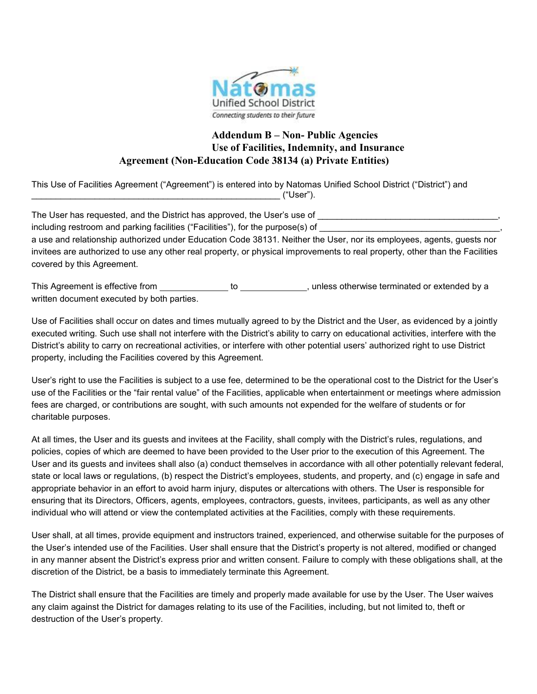

## **Addendum B – Non- Public Agencies Use of Facilities, Indemnity, and Insurance Agreement (Non-Education Code 38134 (a) Private Entities)**

This Use of Facilities Agreement ("Agreement") is entered into by Natomas Unified School District ("District") and \_\_\_\_\_\_\_\_\_\_\_\_\_\_\_\_\_\_\_\_\_\_\_\_\_\_\_\_\_\_\_\_\_\_\_\_\_\_\_\_\_\_\_\_\_\_\_\_\_\_\_ ("User").

The User has requested, and the District has approved, the User's use of including restroom and parking facilities ("Facilities"), for the purpose(s) of a use and relationship authorized under Education Code 38131. Neither the User, nor its employees, agents, guests nor invitees are authorized to use any other real property, or physical improvements to real property, other than the Facilities covered by this Agreement.

This Agreement is effective from \_\_\_\_\_\_\_\_\_\_\_\_\_\_\_ to \_\_\_\_\_\_\_\_\_\_\_\_\_\_, unless otherwise terminated or extended by a written document executed by both parties.

Use of Facilities shall occur on dates and times mutually agreed to by the District and the User, as evidenced by a jointly executed writing. Such use shall not interfere with the District's ability to carry on educational activities, interfere with the District's ability to carry on recreational activities, or interfere with other potential users' authorized right to use District property, including the Facilities covered by this Agreement.

User's right to use the Facilities is subject to a use fee, determined to be the operational cost to the District for the User's use of the Facilities or the "fair rental value" of the Facilities, applicable when entertainment or meetings where admission fees are charged, or contributions are sought, with such amounts not expended for the welfare of students or for charitable purposes.

At all times, the User and its guests and invitees at the Facility, shall comply with the District's rules, regulations, and policies, copies of which are deemed to have been provided to the User prior to the execution of this Agreement. The User and its guests and invitees shall also (a) conduct themselves in accordance with all other potentially relevant federal, state or local laws or regulations, (b) respect the District's employees, students, and property, and (c) engage in safe and appropriate behavior in an effort to avoid harm injury, disputes or altercations with others. The User is responsible for ensuring that its Directors, Officers, agents, employees, contractors, guests, invitees, participants, as well as any other individual who will attend or view the contemplated activities at the Facilities, comply with these requirements.

User shall, at all times, provide equipment and instructors trained, experienced, and otherwise suitable for the purposes of the User's intended use of the Facilities. User shall ensure that the District's property is not altered, modified or changed in any manner absent the District's express prior and written consent. Failure to comply with these obligations shall, at the discretion of the District, be a basis to immediately terminate this Agreement.

The District shall ensure that the Facilities are timely and properly made available for use by the User. The User waives any claim against the District for damages relating to its use of the Facilities, including, but not limited to, theft or destruction of the User's property.